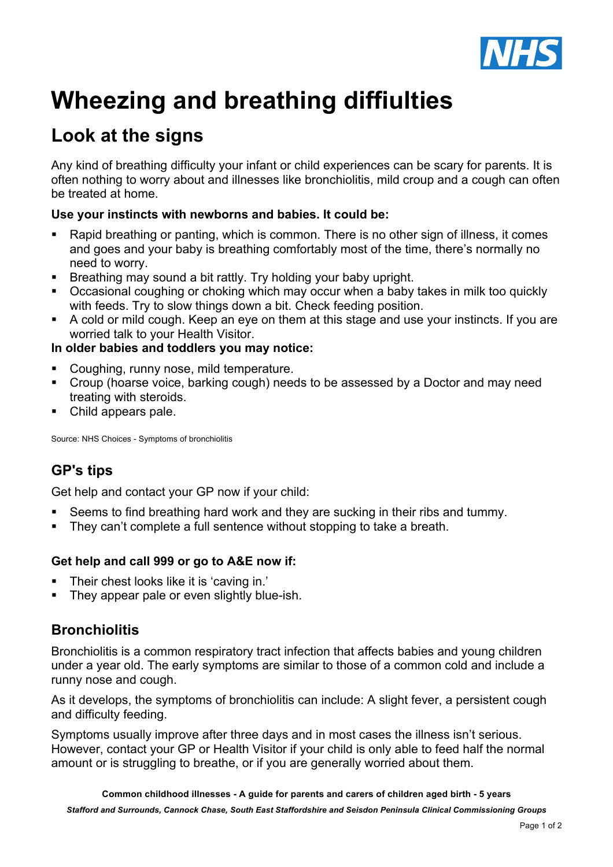

# **Wheezing and breathing diffiulties**

## **Look at the signs**

Any kind of breathing difficulty your infant or child experiences can be scary for parents. It is often nothing to worry about and illnesses like bronchiolitis, mild croup and a cough can often be treated at home.

#### **Use your instincts with newborns and babies. It could be:**

- Rapid breathing or panting, which is common. There is no other sign of illness, it comes and goes and your baby is breathing comfortably most of the time, there's normally no need to worry.
- Breathing may sound a bit rattly. Try holding your baby upright.
- ! Occasional coughing or choking which may occur when a baby takes in milk too quickly with feeds. Try to slow things down a bit. Check feeding position.
- ! A cold or mild cough. Keep an eye on them at this stage and use your instincts. If you are worried talk to your Health Visitor.

#### **In older babies and toddlers you may notice:**

- ! Coughing, runny nose, mild temperature.
- ! Croup (hoarse voice, barking cough) needs to be assessed by a Doctor and may need treating with steroids.
- Child appears pale.

Source: NHS Choices - Symptoms of bronchiolitis

### **GP's tips**

Get help and contact your GP now if your child:

- Seems to find breathing hard work and they are sucking in their ribs and tummy.
- ! They can't complete a full sentence without stopping to take a breath.

#### **Get help and call 999 or go to A&E now if:**

- ! Their chest looks like it is 'caving in.'
- ! They appear pale or even slightly blue-ish.

#### **Bronchiolitis**

Bronchiolitis is a common respiratory tract infection that affects babies and young children under a year old. The early symptoms are similar to those of a common cold and include a runny nose and cough.

As it develops, the symptoms of bronchiolitis can include: A slight fever, a persistent cough and difficulty feeding.

Symptoms usually improve after three days and in most cases the illness isn't serious. However, contact your GP or Health Visitor if your child is only able to feed half the normal amount or is struggling to breathe, or if you are generally worried about them.